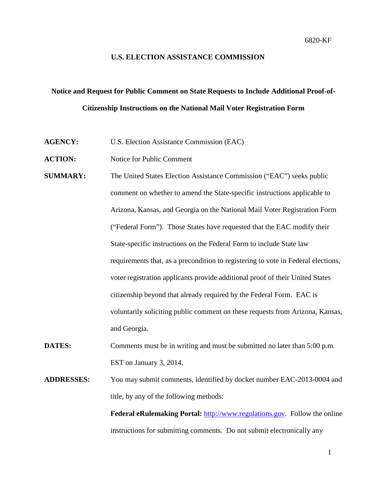#### **U.S. ELECTION ASSISTANCE COMMISSION**

# **Notice and Request for Public Comment on State Requests to Include Additional Proof-of-Citizenship Instructions on the National Mail Voter Registration Form**

**AGENCY:** U.S. Election Assistance Commission (EAC)

**ACTION:** Notice for Public Comment

- **SUMMARY:** The United States Election Assistance Commission ("EAC") seeks public comment on whether to amend the State-specific instructions applicable to Arizona, Kansas, and Georgia on the National Mail Voter Registration Form ("Federal Form"). Those States have requested that the EAC modify their State-specific instructions on the Federal Form to include State law requirements that, as a precondition to registering to vote in Federal elections, voter registration applicants provide additional proof of their United States citizenship beyond that already required by the Federal Form. EAC is voluntarily soliciting public comment on these requests from Arizona, Kansas, and Georgia.
- **DATES:** Comments must be in writing and must be submitted no later than 5:00 p.m. EST on January 3, 2014.
- **ADDRESSES:** You may submit comments, identified by docket number EAC-2013-0004 and title, by any of the following methods:

Federal eRulemaking Portal: [http://www.regulations.gov.](http://www.regulations.gov/) Follow the online instructions for submitting comments. Do not submit electronically any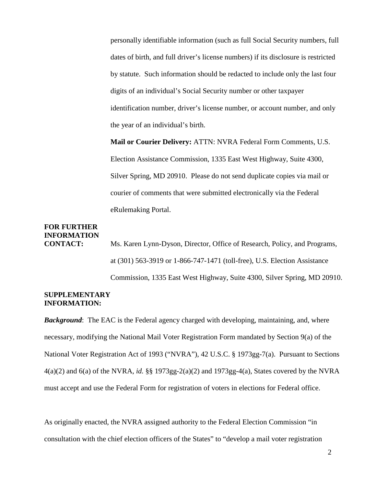personally identifiable information (such as full Social Security numbers, full dates of birth, and full driver's license numbers) if its disclosure is restricted by statute. Such information should be redacted to include only the last four digits of an individual's Social Security number or other taxpayer identification number, driver's license number, or account number, and only the year of an individual's birth.

**Mail or Courier Delivery:** ATTN: NVRA Federal Form Comments, U.S. Election Assistance Commission, 1335 East West Highway, Suite 4300, Silver Spring, MD 20910. Please do not send duplicate copies via mail or courier of comments that were submitted electronically via the Federal eRulemaking Portal.

## **FOR FURTHER INFORMATION**

**CONTACT:** Ms. Karen Lynn-Dyson, Director, Office of Research, Policy, and Programs, at (301) 563-3919 or 1-866-747-1471 (toll-free), U.S. Election Assistance Commission, 1335 East West Highway, Suite 4300, Silver Spring, MD 20910.

### **SUPPLEMENTARY INFORMATION:**

*Background*: The EAC is the Federal agency charged with developing, maintaining, and, where necessary, modifying the National Mail Voter Registration Form mandated by Section 9(a) of the National Voter Registration Act of 1993 ("NVRA"), 42 U.S.C. § 1973gg-7(a). Pursuant to Sections 4(a)(2) and 6(a) of the NVRA, *id.* §§ 1973gg-2(a)(2) and 1973gg-4(a), States covered by the NVRA must accept and use the Federal Form for registration of voters in elections for Federal office.

As originally enacted, the NVRA assigned authority to the Federal Election Commission "in consultation with the chief election officers of the States" to "develop a mail voter registration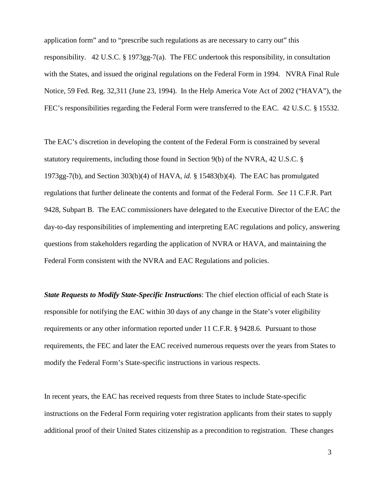application form" and to "prescribe such regulations as are necessary to carry out" this responsibility. 42 U.S.C. § 1973gg-7(a). The FEC undertook this responsibility, in consultation with the States, and issued the original regulations on the Federal Form in 1994. NVRA Final Rule Notice, 59 Fed. Reg. 32,311 (June 23, 1994). In the Help America Vote Act of 2002 ("HAVA"), the FEC's responsibilities regarding the Federal Form were transferred to the EAC. 42 U.S.C. § 15532.

The EAC's discretion in developing the content of the Federal Form is constrained by several statutory requirements, including those found in Section 9(b) of the NVRA, 42 U.S.C. § 1973gg-7(b), and Section 303(b)(4) of HAVA, *id.* § 15483(b)(4). The EAC has promulgated regulations that further delineate the contents and format of the Federal Form. *See* 11 C.F.R. Part 9428, Subpart B. The EAC commissioners have delegated to the Executive Director of the EAC the day-to-day responsibilities of implementing and interpreting EAC regulations and policy, answering questions from stakeholders regarding the application of NVRA or HAVA, and maintaining the Federal Form consistent with the NVRA and EAC Regulations and policies.

*State Requests to Modify State-Specific Instructions*: The chief election official of each State is responsible for notifying the EAC within 30 days of any change in the State's voter eligibility requirements or any other information reported under 11 C.F.R. § 9428.6. Pursuant to those requirements, the FEC and later the EAC received numerous requests over the years from States to modify the Federal Form's State-specific instructions in various respects.

In recent years, the EAC has received requests from three States to include State-specific instructions on the Federal Form requiring voter registration applicants from their states to supply additional proof of their United States citizenship as a precondition to registration. These changes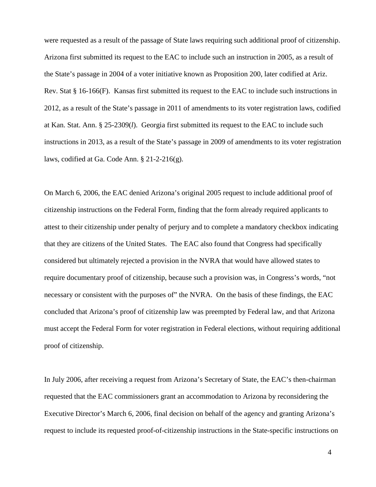were requested as a result of the passage of State laws requiring such additional proof of citizenship. Arizona first submitted its request to the EAC to include such an instruction in 2005, as a result of the State's passage in 2004 of a voter initiative known as Proposition 200, later codified at Ariz. Rev. Stat § 16-166(F). Kansas first submitted its request to the EAC to include such instructions in 2012, as a result of the State's passage in 2011 of amendments to its voter registration laws, codified at Kan. Stat. Ann. § 25-2309(*l*). Georgia first submitted its request to the EAC to include such instructions in 2013, as a result of the State's passage in 2009 of amendments to its voter registration laws, codified at Ga. Code Ann. § 21-2-216(g).

On March 6, 2006, the EAC denied Arizona's original 2005 request to include additional proof of citizenship instructions on the Federal Form, finding that the form already required applicants to attest to their citizenship under penalty of perjury and to complete a mandatory checkbox indicating that they are citizens of the United States. The EAC also found that Congress had specifically considered but ultimately rejected a provision in the NVRA that would have allowed states to require documentary proof of citizenship, because such a provision was, in Congress's words, "not necessary or consistent with the purposes of" the NVRA. On the basis of these findings, the EAC concluded that Arizona's proof of citizenship law was preempted by Federal law, and that Arizona must accept the Federal Form for voter registration in Federal elections, without requiring additional proof of citizenship.

In July 2006, after receiving a request from Arizona's Secretary of State, the EAC's then-chairman requested that the EAC commissioners grant an accommodation to Arizona by reconsidering the Executive Director's March 6, 2006, final decision on behalf of the agency and granting Arizona's request to include its requested proof-of-citizenship instructions in the State-specific instructions on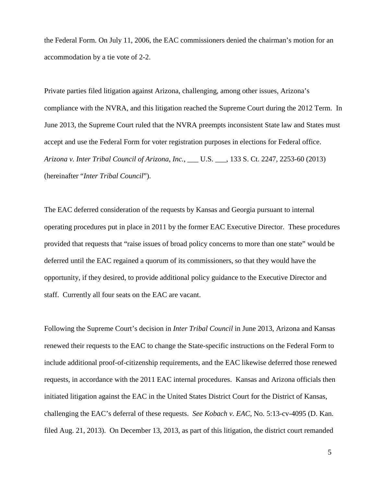the Federal Form. On July 11, 2006, the EAC commissioners denied the chairman's motion for an accommodation by a tie vote of 2-2.

Private parties filed litigation against Arizona, challenging, among other issues, Arizona's compliance with the NVRA, and this litigation reached the Supreme Court during the 2012 Term. In June 2013, the Supreme Court ruled that the NVRA preempts inconsistent State law and States must accept and use the Federal Form for voter registration purposes in elections for Federal office. *Arizona v. Inter Tribal Council of Arizona, Inc.*, \_\_\_ U.S. \_\_\_, 133 S. Ct. 2247, 2253-60 (2013) (hereinafter "*Inter Tribal Council*").

The EAC deferred consideration of the requests by Kansas and Georgia pursuant to internal operating procedures put in place in 2011 by the former EAC Executive Director. These procedures provided that requests that "raise issues of broad policy concerns to more than one state" would be deferred until the EAC regained a quorum of its commissioners, so that they would have the opportunity, if they desired, to provide additional policy guidance to the Executive Director and staff. Currently all four seats on the EAC are vacant.

Following the Supreme Court's decision in *Inter Tribal Council* in June 2013, Arizona and Kansas renewed their requests to the EAC to change the State-specific instructions on the Federal Form to include additional proof-of-citizenship requirements, and the EAC likewise deferred those renewed requests, in accordance with the 2011 EAC internal procedures. Kansas and Arizona officials then initiated litigation against the EAC in the United States District Court for the District of Kansas, challenging the EAC's deferral of these requests. *See Kobach v. EAC*, No. 5:13-cv-4095 (D. Kan. filed Aug. 21, 2013). On December 13, 2013, as part of this litigation, the district court remanded